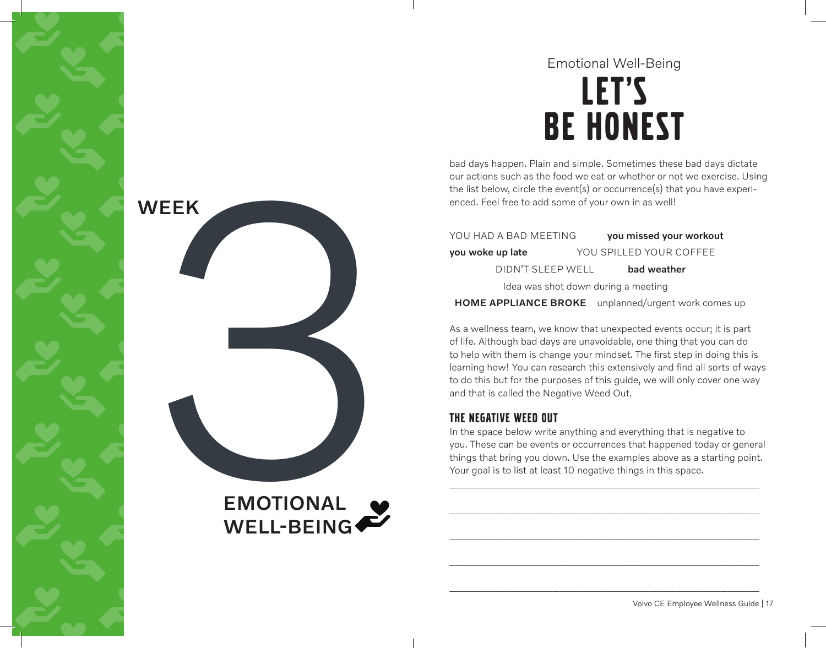## LET'S Be honest Emotional Well-Being

bad days happen. Plain and simple. Sometimes these bad days dictate our actions such as the food we eat or whether or not we exercise. Using the list below, circle the event(s) or occurrence(s) that you have experienced. Feel free to add some of your own in as well!

YOU HAD A BAD MEETING vou missed your workout you woke up late YOU SPILLED YOUR COFFEE DIDN'T SLEEP WELL bad weather Idea was shot down during a meeting

## HOME APPLIANCE BROKE unplanned/urgent work comes up

As a wellness team, we know that unexpected events occur; it is part of life. Although bad days are unavoidable, one thing that you can do to help with them is change your mindset. The first step in doing this is learning how! You can research this extensively and find all sorts of ways to do this but for the purposes of this guide, we will only cover one way and that is called the Negative Weed Out.

## The Negative Weed Out

In the space below write anything and everything that is negative to you. These can be events or occurrences that happened today or general things that bring you down. Use the examples above as a starting point. Your goal is to list at least 10 negative things in this space.

\_\_\_\_\_\_\_\_\_\_\_\_\_\_\_\_\_\_\_\_\_\_\_\_\_\_\_\_\_\_\_\_\_\_\_\_\_\_\_\_\_\_\_\_\_\_\_\_

\_\_\_\_\_\_\_\_\_\_\_\_\_\_\_\_\_\_\_\_\_\_\_\_\_\_\_\_\_\_\_\_\_\_\_\_\_\_\_\_\_\_\_\_\_\_\_\_

\_\_\_\_\_\_\_\_\_\_\_\_\_\_\_\_\_\_\_\_\_\_\_\_\_\_\_\_\_\_\_\_\_\_\_\_\_\_\_\_\_\_\_\_\_\_\_\_